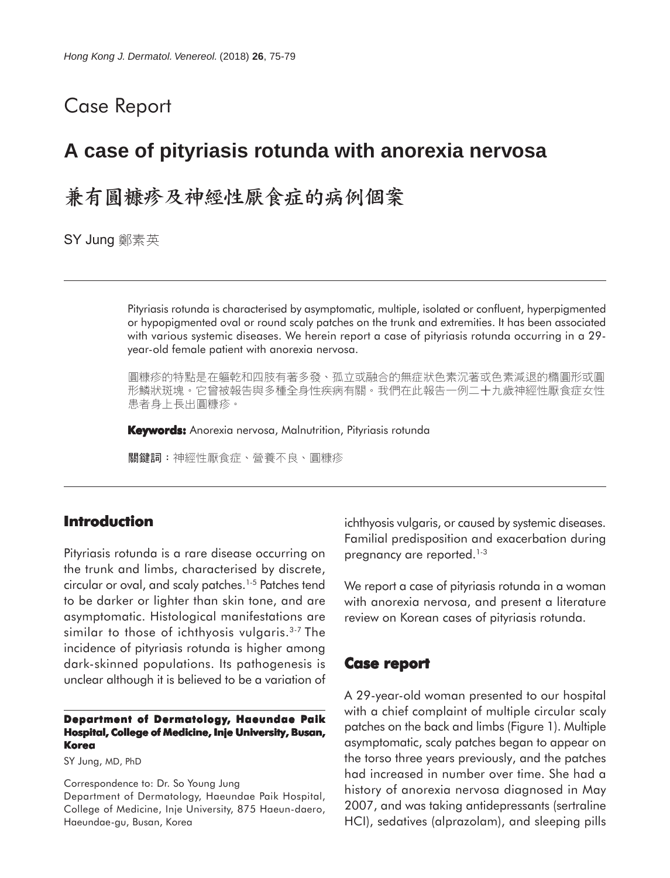## Case Report

# **A case of pityriasis rotunda with anorexia nervosa**

# 兼有圓糠疹及神經性厭食症的病例個案

SY Jung 鄭素英

Pityriasis rotunda is characterised by asymptomatic, multiple, isolated or confluent, hyperpigmented or hypopigmented oval or round scaly patches on the trunk and extremities. It has been associated with various systemic diseases. We herein report a case of pityriasis rotunda occurring in a 29 year-old female patient with anorexia nervosa.

圓糠疹的特點是在軀乾和四肢有著多發、孤立或融合的無症狀色素沉著或色素減退的橢圓形或圓 形鱗狀斑塊。它曾被報告與多種全身性疾病有關。我們在此報告一例二十九歲神經性厭食症女性 患者身上長出圓糠疹。

**Keywords:** Anorexia nervosa, Malnutrition, Pityriasis rotunda

關鍵詞:神經性厭食症、營養不良、圓糠疹

### **Introduction**

Pityriasis rotunda is a rare disease occurring on the trunk and limbs, characterised by discrete, circular or oval, and scaly patches.<sup>1-5</sup> Patches tend to be darker or lighter than skin tone, and are asymptomatic. Histological manifestations are similar to those of ichthyosis vulgaris.<sup>3-7</sup> The incidence of pityriasis rotunda is higher among dark-skinned populations. Its pathogenesis is unclear although it is believed to be a variation of

#### **Department of Dermatology, Haeundae Paik Hospital, College of Medicine, Inje University, Busan, Korea**

SY Jung, MD, PhD

Correspondence to: Dr. So Young Jung

Department of Dermatology, Haeundae Paik Hospital, College of Medicine, Inje University, 875 Haeun-daero, Haeundae-gu, Busan, Korea

ichthyosis vulgaris, or caused by systemic diseases. Familial predisposition and exacerbation during pregnancy are reported.<sup>1-3</sup>

We report a case of pityriasis rotunda in a woman with anorexia nervosa, and present a literature review on Korean cases of pityriasis rotunda.

### **Case report**

A 29-year-old woman presented to our hospital with a chief complaint of multiple circular scaly patches on the back and limbs (Figure 1). Multiple asymptomatic, scaly patches began to appear on the torso three years previously, and the patches had increased in number over time. She had a history of anorexia nervosa diagnosed in May 2007, and was taking antidepressants (sertraline HCI), sedatives (alprazolam), and sleeping pills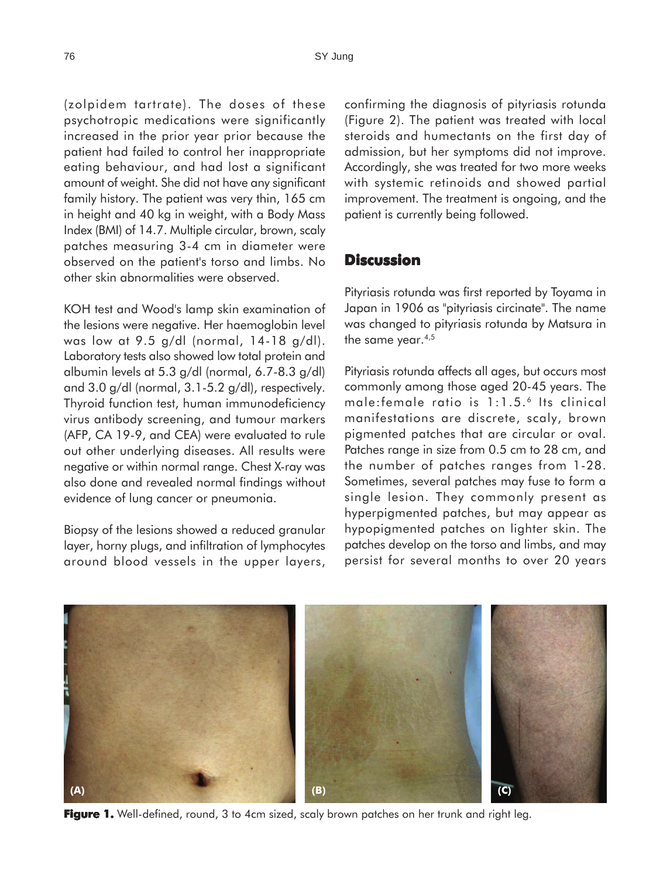(zolpidem tartrate). The doses of these psychotropic medications were significantly increased in the prior year prior because the patient had failed to control her inappropriate eating behaviour, and had lost a significant amount of weight. She did not have any significant family history. The patient was very thin, 165 cm in height and 40 kg in weight, with a Body Mass Index (BMI) of 14.7. Multiple circular, brown, scaly patches measuring 3-4 cm in diameter were observed on the patient's torso and limbs. No other skin abnormalities were observed.

KOH test and Wood's lamp skin examination of the lesions were negative. Her haemoglobin level was low at 9.5 g/dl (normal, 14-18 g/dl). Laboratory tests also showed low total protein and albumin levels at 5.3 g/dl (normal, 6.7-8.3 g/dl) and 3.0 g/dl (normal, 3.1-5.2 g/dl), respectively. Thyroid function test, human immunodeficiency virus antibody screening, and tumour markers (AFP, CA 19-9, and CEA) were evaluated to rule out other underlying diseases. All results were negative or within normal range. Chest X-ray was also done and revealed normal findings without evidence of lung cancer or pneumonia.

Biopsy of the lesions showed a reduced granular layer, horny plugs, and infiltration of lymphocytes around blood vessels in the upper layers, confirming the diagnosis of pityriasis rotunda (Figure 2). The patient was treated with local steroids and humectants on the first day of admission, but her symptoms did not improve. Accordingly, she was treated for two more weeks with systemic retinoids and showed partial improvement. The treatment is ongoing, and the patient is currently being followed.

## **Discussion**

Pityriasis rotunda was first reported by Toyama in Japan in 1906 as "pityriasis circinate". The name was changed to pityriasis rotunda by Matsura in the same year.<sup>4,5</sup>

Pityriasis rotunda affects all ages, but occurs most commonly among those aged 20-45 years. The male: female ratio is 1:1.5.<sup>6</sup> Its clinical manifestations are discrete, scaly, brown pigmented patches that are circular or oval. Patches range in size from 0.5 cm to 28 cm, and the number of patches ranges from 1-28. Sometimes, several patches may fuse to form a single lesion. They commonly present as hyperpigmented patches, but may appear as hypopigmented patches on lighter skin. The patches develop on the torso and limbs, and may persist for several months to over 20 years



**Figure 1.** Well-defined, round, 3 to 4cm sized, scaly brown patches on her trunk and right leg.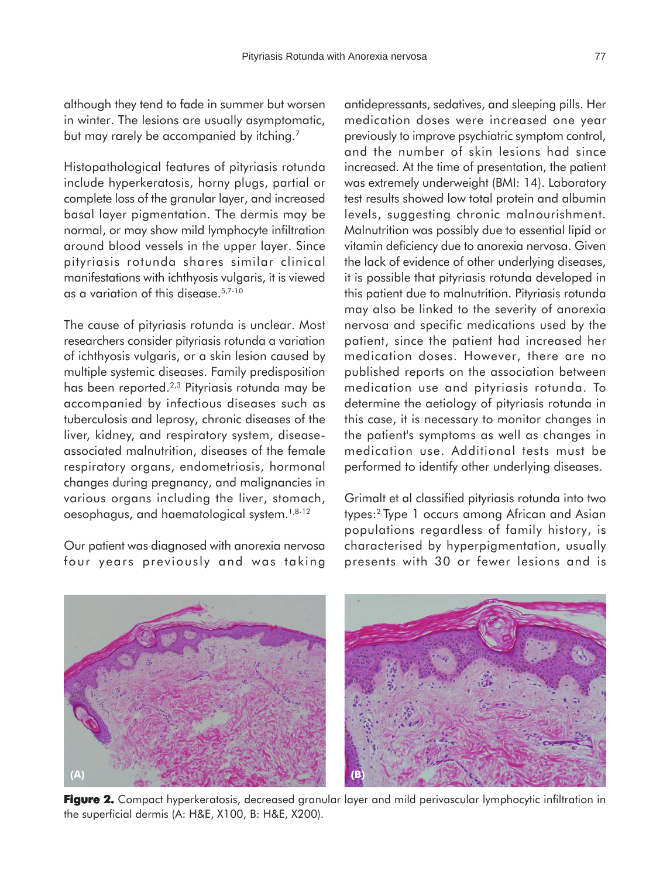although they tend to fade in summer but worsen in winter. The lesions are usually asymptomatic, but may rarely be accompanied by itching.<sup>7</sup>

Histopathological features of pityriasis rotunda include hyperkeratosis, horny plugs, partial or complete loss of the granular layer, and increased basal layer pigmentation. The dermis may be normal, or may show mild lymphocyte infiltration around blood vessels in the upper layer. Since pityriasis rotunda shares similar clinical manifestations with ichthyosis vulgaris, it is viewed as a variation of this disease.5,7-10

The cause of pityriasis rotunda is unclear. Most researchers consider pityriasis rotunda a variation of ichthyosis vulgaris, or a skin lesion caused by multiple systemic diseases. Family predisposition has been reported.2,3 Pityriasis rotunda may be accompanied by infectious diseases such as tuberculosis and leprosy, chronic diseases of the liver, kidney, and respiratory system, diseaseassociated malnutrition, diseases of the female respiratory organs, endometriosis, hormonal changes during pregnancy, and malignancies in various organs including the liver, stomach, oesophagus, and haematological system.1,8-12

Our patient was diagnosed with anorexia nervosa four years previously and was taking antidepressants, sedatives, and sleeping pills. Her medication doses were increased one year previously to improve psychiatric symptom control, and the number of skin lesions had since increased. At the time of presentation, the patient was extremely underweight (BMI: 14). Laboratory test results showed low total protein and albumin levels, suggesting chronic malnourishment. Malnutrition was possibly due to essential lipid or vitamin deficiency due to anorexia nervosa. Given the lack of evidence of other underlying diseases, it is possible that pityriasis rotunda developed in this patient due to malnutrition. Pityriasis rotunda may also be linked to the severity of anorexia nervosa and specific medications used by the patient, since the patient had increased her medication doses. However, there are no published reports on the association between medication use and pityriasis rotunda. To determine the aetiology of pityriasis rotunda in this case, it is necessary to monitor changes in the patient's symptoms as well as changes in medication use. Additional tests must be performed to identify other underlying diseases.

Grimalt et al classified pityriasis rotunda into two types:2 Type 1 occurs among African and Asian populations regardless of family history, is characterised by hyperpigmentation, usually presents with 30 or fewer lesions and is



**Figure 2. 2.** Compact hyperkeratosis, decreased granular layer and mild perivascular lymphocytic infiltration in the superficial dermis (A: H&E, X100, B: H&E, X200).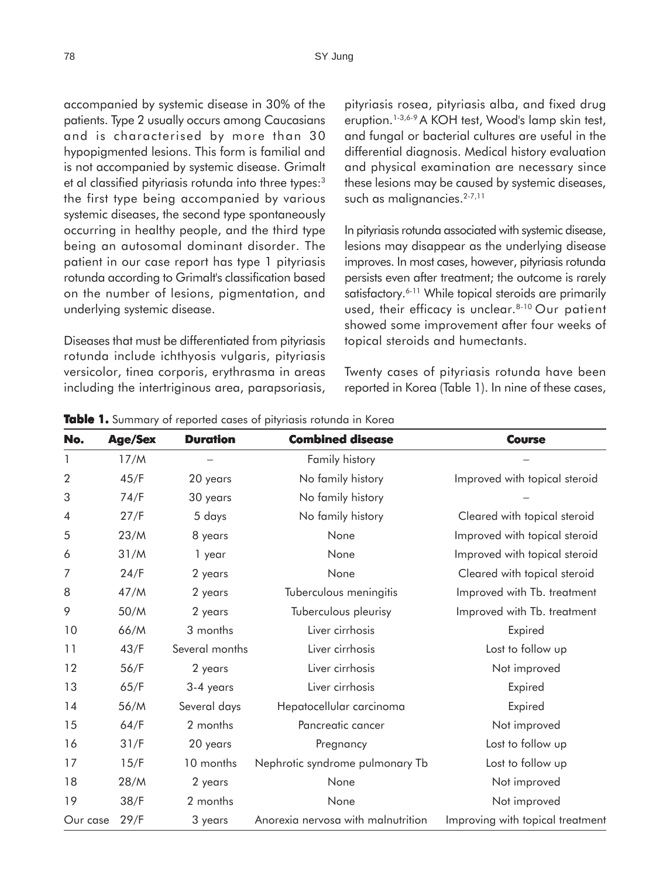accompanied by systemic disease in 30% of the patients. Type 2 usually occurs among Caucasians and is characterised by more than 30 hypopigmented lesions. This form is familial and is not accompanied by systemic disease. Grimalt et al classified pityriasis rotunda into three types:<sup>3</sup> the first type being accompanied by various systemic diseases, the second type spontaneously occurring in healthy people, and the third type being an autosomal dominant disorder. The patient in our case report has type 1 pityriasis rotunda according to Grimalt's classification based on the number of lesions, pigmentation, and underlying systemic disease.

Diseases that must be differentiated from pityriasis rotunda include ichthyosis vulgaris, pityriasis versicolor, tinea corporis, erythrasma in areas including the intertriginous area, parapsoriasis,

pityriasis rosea, pityriasis alba, and fixed drug eruption.<sup>1-3,6-9</sup> A KOH test, Wood's lamp skin test, and fungal or bacterial cultures are useful in the differential diagnosis. Medical history evaluation and physical examination are necessary since these lesions may be caused by systemic diseases, such as malignancies.<sup>2-7,11</sup>

In pityriasis rotunda associated with systemic disease, lesions may disappear as the underlying disease improves. In most cases, however, pityriasis rotunda persists even after treatment; the outcome is rarely satisfactory.<sup>6-11</sup> While topical steroids are primarily used, their efficacy is unclear.<sup>8-10</sup> Our patient showed some improvement after four weeks of topical steroids and humectants.

Twenty cases of pityriasis rotunda have been reported in Korea (Table 1). In nine of these cases,

| No.            | <b>Age/Sex</b> | <b>Duration</b> | <b>Combined disease</b>            | <b>Course</b>                    |
|----------------|----------------|-----------------|------------------------------------|----------------------------------|
| 1              | 17/M           |                 | Family history                     |                                  |
| $\overline{2}$ | 45/F           | 20 years        | No family history                  | Improved with topical steroid    |
| 3              | 74/F           | 30 years        | No family history                  |                                  |
| 4              | 27/F           | 5 days          | No family history                  | Cleared with topical steroid     |
| 5              | 23/M           | 8 years         | None                               | Improved with topical steroid    |
| 6              | 31/M           | 1 year          | None                               | Improved with topical steroid    |
| 7              | 24/F           | 2 years         | None                               | Cleared with topical steroid     |
| 8              | 47/M           | 2 years         | Tuberculous meningitis             | Improved with Tb. treatment      |
| 9              | 50/M           | 2 years         | Tuberculous pleurisy               | Improved with Tb. treatment      |
| 10             | 66/M           | 3 months        | Liver cirrhosis                    | Expired                          |
| 11             | 43/F           | Several months  | Liver cirrhosis                    | Lost to follow up                |
| 12             | 56/F           | 2 years         | Liver cirrhosis                    | Not improved                     |
| 13             | 65/F           | 3-4 years       | Liver cirrhosis                    | Expired                          |
| 14             | 56/M           | Several days    | Hepatocellular carcinoma           | Expired                          |
| 15             | 64/F           | 2 months        | Pancreatic cancer                  | Not improved                     |
| 16             | 31/F           | 20 years        | Pregnancy                          | Lost to follow up                |
| 17             | 15/F           | 10 months       | Nephrotic syndrome pulmonary Tb    | Lost to follow up                |
| 18             | 28/M           | 2 years         | None                               | Not improved                     |
| 19             | 38/F           | 2 months        | None                               | Not improved                     |
| Our case       | 29/F           | 3 years         | Anorexia nervosa with malnutrition | Improving with topical treatment |

**Table 1.** Summary of reported cases of pityriasis rotunda in Korea